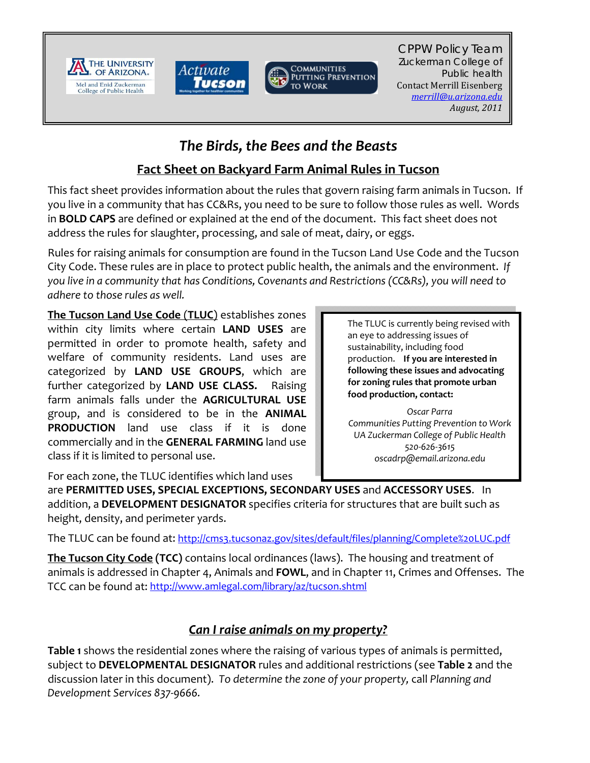





CPPW Policy Team Zuckerman College of Public health Contact Merrill Eisenberg *merrill@u.arizona.edu August, 2011*

## *The Birds, the Bees and the Beasts*

## **Fact Sheet on Backyard Farm Animal Rules in Tucson**

This fact sheet provides information about the rules that govern raising farm animals in Tucson. If you live in a community that has CC&Rs, you need to be sure to follow those rules as well. Words in **BOLD CAPS** are defined or explained at the end of the document. This fact sheet does not address the rules for slaughter, processing, and sale of meat, dairy, or eggs.

Rules for raising animals for consumption are found in the Tucson Land Use Code and the Tucson City Code. These rules are in place to protect public health, the animals and the environment. *If you live in a community that has Conditions, Covenants and Restrictions (CC&Rs), you will need to adhere to those rules as well.* 

**The Tucson Land Use Code** (**TLUC**) establishes zones within city limits where certain **LAND USES** are permitted in order to promote health, safety and welfare of community residents. Land uses are categorized by **LAND USE GROUPS**, which are further categorized by **LAND USE CLASS.**  Raising farm animals falls under the **AGRICULTURAL USE** group, and is considered to be in the **ANIMAL PRODUCTION** land use class if it is done commercially and in the **GENERAL FARMING** land use class if it is limited to personal use.

The TLUC is currently being revised with an eye to addressing issues of sustainability, including food production. **If you are interested in following these issues and advocating for zoning rules that promote urban food production, contact:**

*Oscar Parra Communities Putting Prevention to Work UA Zuckerman College of Public Health 520‐626‐3615 oscadrp@email.arizona.edu*

For each zone, the TLUC identifies which land uses

are **PERMITTED USES, SPECIAL EXCEPTIONS, SECONDARY USES** and **ACCESSORY USES**. In addition, a **DEVELOPMENT DESIGNATOR** specifies criteria for structures that are built such as height, density, and perimeter yards.

The TLUC can be found at: http://cms3.tucsonaz.gov/sites/default/files/planning/Complete%20LUC.pdf

**The Tucson City Code (TCC)** contains local ordinances (laws). The housing and treatment of animals is addressed in Chapter 4, Animals and **FOWL**, and in Chapter 11, Crimes and Offenses. The TCC can be found at: http://www.amlegal.com/library/az/tucson.shtml

## *Can I raise animals on my property?*

**Table 1** shows the residential zones where the raising of various types of animals is permitted, subject to **DEVELOPMENTAL DESIGNATOR** rules and additional restrictions (see **Table 2** and the discussion later in this document). *To determine the zone of your property,* call *Planning and Development Services 837‐9666.*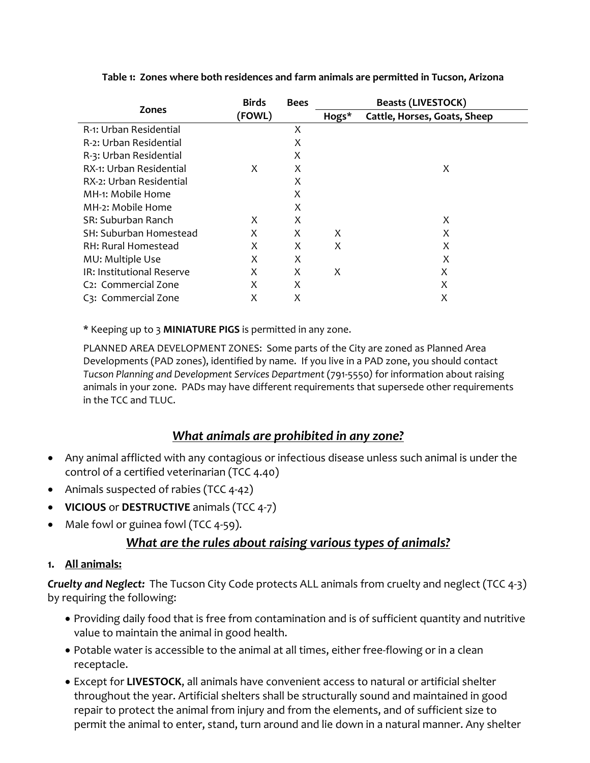|                                  | <b>Birds</b><br>(FOWL) | <b>Bees</b> | <b>Beasts (LIVESTOCK)</b> |                              |
|----------------------------------|------------------------|-------------|---------------------------|------------------------------|
| <b>Zones</b>                     |                        |             | Hogs*                     | Cattle, Horses, Goats, Sheep |
| R-1: Urban Residential           |                        | Χ           |                           |                              |
| R-2: Urban Residential           |                        | X           |                           |                              |
| R-3: Urban Residential           |                        | X           |                           |                              |
| RX-1: Urban Residential          | X                      | X           |                           | X                            |
| RX-2: Urban Residential          |                        | X           |                           |                              |
| MH-1: Mobile Home                |                        | X           |                           |                              |
| MH-2: Mobile Home                |                        | X           |                           |                              |
| SR: Suburban Ranch               | X                      | X           |                           | X                            |
| SH: Suburban Homestead           | X                      | X           | X                         | X                            |
| RH: Rural Homestead              | X                      | X           | X                         | X                            |
| MU: Multiple Use                 | X                      | X           |                           | X                            |
| IR: Institutional Reserve        | X                      | X           | X                         | X                            |
| C <sub>2</sub> : Commercial Zone | X                      | Χ           |                           | X                            |
| C3: Commercial Zone              | X                      | Χ           |                           | X                            |

**Table 1: Zones where both residences and farm animals are permitted in Tucson, Arizona**

\* Keeping up to 3 **MINIATURE PIGS** is permitted in any zone.

PLANNED AREA DEVELOPMENT ZONES:Some parts of the City are zoned as Planned Area Developments (PAD zones), identified by name. If you live in a PAD zone, you should contact *Tucson Planning and Development Services Department* (791‐5550*)* for information about raising animals in your zone. PADs may have different requirements that supersede other requirements in the  $TCC$  and  $TULC$ .

## *What animals are prohibited in any zone?*

- Any animal afflicted with any contagious or infectious disease unless such animal is under the control of a certified veterinarian (TCC 4.40)
- Animals suspected of rabies (TCC 4-42)
- **VICIOUS** or **DESTRUCTIVE** animals (TCC 4‐7)
- Male fowl or guinea fowl (TCC 4-59).

## *What are the rules about raising various types of animals?*

## **1. All animals:**

*Cruelty and Neglect:* The Tucson City Code protects ALL animals from cruelty and neglect (TCC 4-3) by requiring the following:

- Providing daily food that is free from contamination and is of sufficient quantity and nutritive value to maintain the animal in good health.
- Potable water is accessible to the animal at all times, either free-flowing or in a clean receptacle.
- Except for **LIVESTOCK**, all animals have convenient access to natural or artificial shelter throughout the year. Artificial shelters shall be structurally sound and maintained in good repair to protect the animal from injury and from the elements, and of sufficient size to permit the animal to enter, stand, turn around and lie down in a natural manner. Any shelter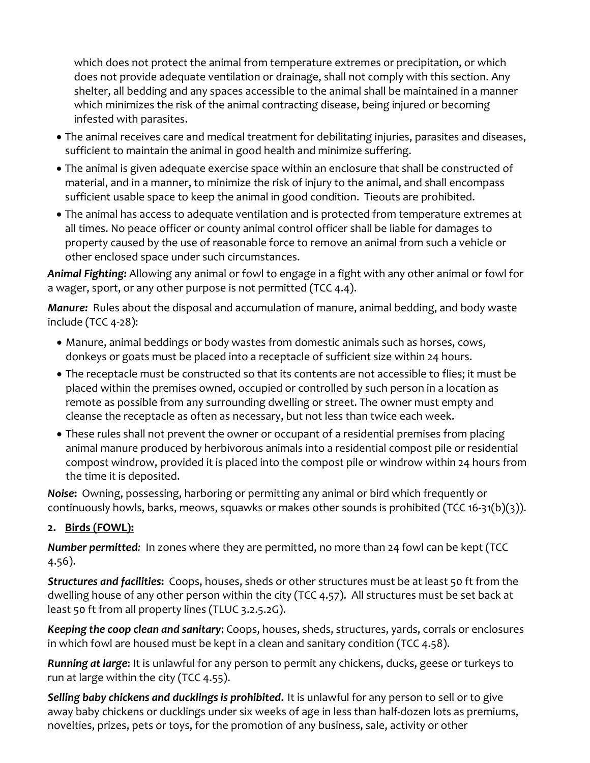which does not protect the animal from temperature extremes or precipitation, or which does not provide adequate ventilation or drainage, shall not comply with this section. Any shelter, all bedding and any spaces accessible to the animal shall be maintained in a manner which minimizes the risk of the animal contracting disease, being injured or becoming infested with parasites.

- The animal receives care and medical treatment for debilitating injuries, parasites and diseases, sufficient to maintain the animal in good health and minimize suffering.
- The animal is given adequate exercise space within an enclosure that shall be constructed of material, and in a manner, to minimize the risk of injury to the animal, and shall encompass sufficient usable space to keep the animal in good condition. Tieouts are prohibited.
- The animal has access to adequate ventilation and is protected from temperature extremes at all times. No peace officer or county animal control officer shall be liable for damages to property caused by the use of reasonable force to remove an animal from such a vehicle or other enclosed space under such circumstances.

*Animal Fighting:* Allowing any animal or fowl to engage in a fight with any other animal or fowl for a wager, sport, or any other purpose is not permitted (TCC 4.4).

*Manure:* Rules about the disposal and accumulation of manure, animal bedding, and body waste include (TCC 4‐28):

- Manure, animal beddings or body wastes from domestic animals such as horses, cows, donkeys or goats must be placed into a receptacle of sufficient size within 24 hours.
- The receptacle must be constructed so that its contents are not accessible to flies; it must be placed within the premises owned, occupied or controlled by such person in a location as remote as possible from any surrounding dwelling or street. The owner must empty and cleanse the receptacle as often as necessary, but not less than twice each week.
- These rules shall not prevent the owner or occupant of a residential premises from placing animal manure produced by herbivorous animals into a residential compost pile or residential compost windrow, provided it is placed into the compost pile or windrow within 24 hours from the time it is deposited.

*Noise***:** Owning, possessing, harboring or permitting any animal or bird which frequently or continuously howls, barks, meows, squawks or makes other sounds is prohibited (TCC 16‐31(b)(3)).

## **2. Birds (FOWL):**

*Number permitted:* In zones where they are permitted, no more than 24 fowl can be kept (TCC 4.56).

*Structures and facilities***:** Coops, houses, sheds or other structures must be at least 50 ft from the dwelling house of any other person within the city (TCC 4.57). All structures must be set back at least 50 ft from all property lines (TLUC 3.2.5.2G).

*Keeping the coop clean and sanitary*: Coops, houses, sheds, structures, yards, corrals or enclosures in which fowl are housed must be kept in a clean and sanitary condition (TCC 4.58).

*Running at large*: It is unlawful for any person to permit any chickens, ducks, geese or turkeys to run at large within the city (TCC 4.55).

*Selling baby chickens and ducklings is prohibited***.** It is unlawful for any person to sell or to give away baby chickens or ducklings under six weeks of age in less than half-dozen lots as premiums, novelties, prizes, pets or toys, for the promotion of any business, sale, activity or other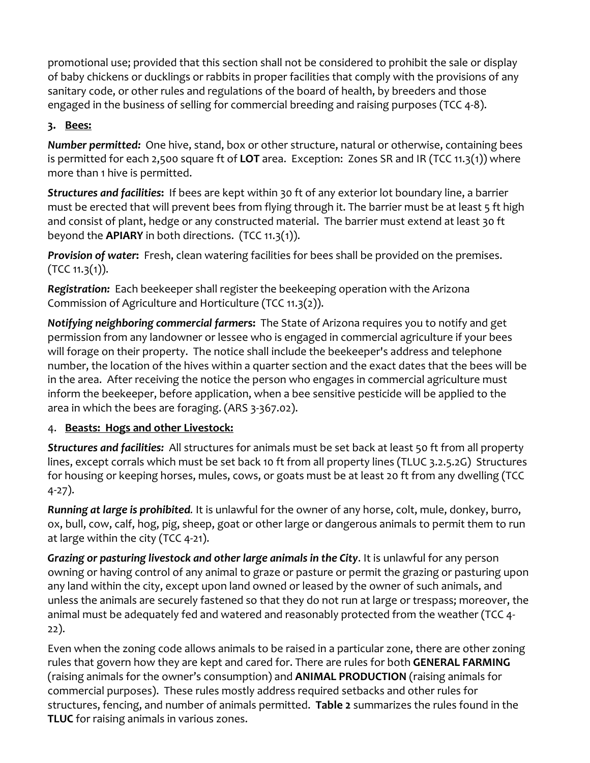promotional use; provided that this section shall not be considered to prohibit the sale or display of baby chickens or ducklings or rabbits in proper facilities that comply with the provisions of any sanitary code, or other rules and regulations of the board of health, by breeders and those engaged in the business of selling for commercial breeding and raising purposes (TCC 4‐8).

## **3. Bees:**

*Number permitted:* One hive, stand, box or other structure, natural or otherwise, containing bees is permitted for each 2,500 square ft of **LOT** area. Exception: Zones SR and IR (TCC 11.3(1)) where more than 1 hive is permitted.

*Structures and facilities***:** If bees are kept within 30 ft of any exterior lot boundary line, a barrier must be erected that will prevent bees from flying through it. The barrier must be at least 5 ft high and consist of plant, hedge or any constructed material. The barrier must extend at least 30 ft beyond the **APIARY** in both directions. (TCC 11.3(1)).

*Provision of water***:** Fresh, clean watering facilities for bees shall be provided on the premises.  $(TCC 11.3(1)).$ 

**Registration:** Each beekeeper shall register the beekeeping operation with the Arizona Commission of Agriculture and Horticulture (TCC 11.3(2)).

*Notifying neighboring commercial farmer***s:** The State of Arizona requires you to notify and get permission from any landowner or lessee who is engaged in commercial agriculture if your bees will forage on their property. The notice shall include the beekeeper's address and telephone number, the location of the hives within a quarter section and the exact dates that the bees will be in the area. After receiving the notice the person who engages in commercial agriculture must inform the beekeeper, before application, when a bee sensitive pesticide will be applied to the area in which the bees are foraging. (ARS 3‐367.02).

## 4. **Beasts: Hogs and other Livestock:**

*Structures and facilities:*All structures for animals must be set back at least 50 ft from all property lines, except corrals which must be set back 10 ft from all property lines (TLUC 3.2.5.2G) Structures for housing or keeping horses, mules, cows, or goats must be at least 20 ft from any dwelling (TCC 4‐27).

*Running at large is prohibited.* It is unlawful for the owner of any horse, colt, mule, donkey, burro, ox, bull, cow, calf, hog, pig, sheep, goat or other large or dangerous animals to permit them to run at large within the city (TCC 4‐21).

*Grazing or pasturing livestock and other large animals in the City*. It is unlawful for any person owning or having control of any animal to graze or pasture or permit the grazing or pasturing upon any land within the city, except upon land owned or leased by the owner of such animals, and unless the animals are securely fastened so that they do not run at large or trespass; moreover, the animal must be adequately fed and watered and reasonably protected from the weather (TCC 4‐ 22).

Even when the zoning code allows animals to be raised in a particular zone, there are other zoning rules that govern how they are kept and cared for. There are rules for both **GENERAL FARMING** (raising animals for the owner's consumption) and **ANIMAL PRODUCTION** (raising animals for commercial purposes). These rules mostly address required setbacks and other rules for structures, fencing, and number of animals permitted. **Table 2** summarizes the rules found in the **TLUC** for raising animals in various zones.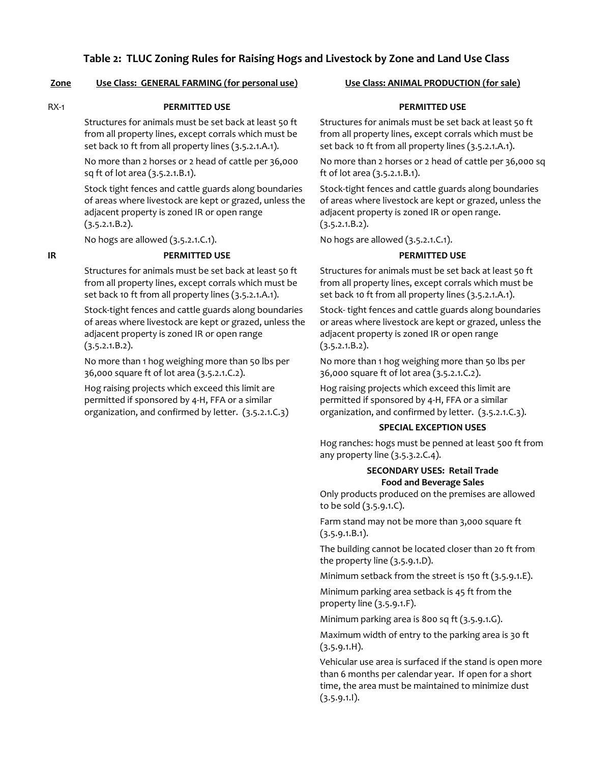#### **Table 2: TLUC Zoning Rules for Raising Hogs and Livestock by Zone and Land Use Class**

#### **Zone Use Class: GENERAL FARMING (for personal use) Use Class: ANIMAL PRODUCTION (for sale)**

#### RX‐1 **PERMITTED USE**

Structures for animals must be set back at least 50 ft from all property lines, except corrals which must be set back 10 ft from all property lines (3.5.2.1.A.1).

No more than 2 horses or 2 head of cattle per 36,000 sq ft of lot area (3.5.2.1.B.1).

Stock tight fences and cattle guards along boundaries of areas where livestock are kept or grazed, unless the adjacent property is zoned IR or open range  $(3.5.2.1.B.2).$ 

No hogs are allowed (3.5.2.1.C.1).

#### **IR PERMITTED USE**

Structures for animals must be set back at least 50 ft from all property lines, except corrals which must be set back 10 ft from all property lines (3.5.2.1.A.1).

Stock‐tight fences and cattle guards along boundaries of areas where livestock are kept or grazed, unless the adjacent property is zoned IR or open range  $(3.5.2.1.B.2).$ 

No more than 1 hog weighing more than 50 lbs per 36,000 square ft of lot area (3.5.2.1.C.2).

Hog raising projects which exceed this limit are permitted if sponsored by 4‐H, FFA or a similar organization, and confirmed by letter. (3.5.2.1.C.3)

#### **PERMITTED USE**

Structures for animals must be set back at least 50 ft from all property lines, except corrals which must be set back 10 ft from all property lines (3.5.2.1.A.1).

No more than 2 horses or 2 head of cattle per 36,000 sq ft of lot area (3.5.2.1.B.1).

Stock‐tight fences and cattle guards along boundaries of areas where livestock are kept or grazed, unless the adjacent property is zoned IR or open range.  $(3.5.2.1.B.2).$ 

No hogs are allowed (3.5.2.1.C.1).

#### **PERMITTED USE**

Structures for animals must be set back at least 50 ft from all property lines, except corrals which must be set back 10 ft from all property lines (3.5.2.1.A.1).

Stock‐ tight fences and cattle guards along boundaries or areas where livestock are kept or grazed, unless the adjacent property is zoned IR or open range  $(3.5.2.1.B.2).$ 

No more than 1 hog weighing more than 50 lbs per 36,000 square ft of lot area (3.5.2.1.C.2).

Hog raising projects which exceed this limit are permitted if sponsored by 4‐H, FFA or a similar organization, and confirmed by letter. (3.5.2.1.C.3).

#### **SPECIAL EXCEPTION USES**

Hog ranches: hogs must be penned at least 500 ft from any property line (3.5.3.2.C.4).

#### **SECONDARY USES: Retail Trade Food and Beverage Sales**

Only products produced on the premises are allowed to be sold (3.5.9.1.C).

Farm stand may not be more than 3,000 square ft  $(3.5.9.1.B.1).$ 

The building cannot be located closer than 20 ft from the property line (3.5.9.1.D).

Minimum setback from the street is 150 ft (3.5.9.1.E).

Minimum parking area setback is 45 ft from the property line (3.5.9.1.F).

Minimum parking area is 800 sq ft (3.5.9.1.G).

Maximum width of entry to the parking area is 30 ft (3.5.9.1.H).

Vehicular use area is surfaced if the stand is open more than 6 months per calendar year. If open for a short time, the area must be maintained to minimize dust  $(3.5.9.1.1)$ .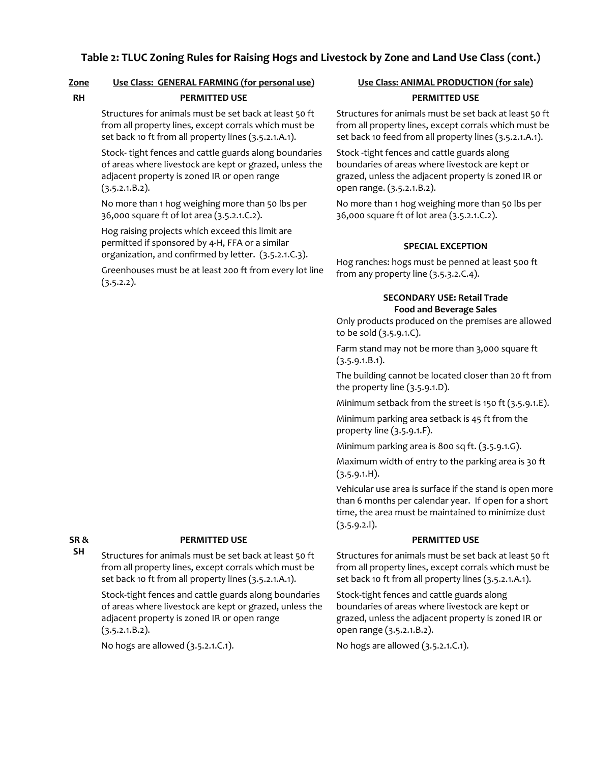## **Table 2: TLUC Zoning Rules for Raising Hogs and Livestock by Zone and Land Use Class (cont.)**

#### **Zone Use Class: GENERAL FARMING (for personal use) Use Class: ANIMAL PRODUCTION (for sale)**

#### **RH PERMITTED USE**

Structures for animals must be set back at least 50 ft from all property lines, except corrals which must be set back 10 ft from all property lines (3.5.2.1.A.1).

Stock‐ tight fences and cattle guards along boundaries of areas where livestock are kept or grazed, unless the adjacent property is zoned IR or open range  $(3.5.2.1.B.2).$ 

No more than 1 hog weighing more than 50 lbs per 36,000 square ft of lot area (3.5.2.1.C.2).

Hog raising projects which exceed this limit are permitted if sponsored by 4‐H, FFA or a similar organization, and confirmed by letter. (3.5.2.1.C.3).

Greenhouses must be at least 200 ft from every lot line  $(3.5.2.2)$ .

# **PERMITTED USE**

Structures for animals must be set back at least 50 ft from all property lines, except corrals which must be set back 10 feed from all property lines (3.5.2.1.A.1).

Stock ‐tight fences and cattle guards along boundaries of areas where livestock are kept or grazed, unless the adjacent property is zoned IR or open range. (3.5.2.1.B.2).

No more than 1 hog weighing more than 50 lbs per 36,000 square ft of lot area (3.5.2.1.C.2).

#### **SPECIAL EXCEPTION**

Hog ranches: hogs must be penned at least 500 ft from any property line (3.5.3.2.C.4).

#### **SECONDARY USE: Retail Trade Food and Beverage Sales**

Only products produced on the premises are allowed to be sold (3.5.9.1.C).

Farm stand may not be more than 3,000 square ft (3.5.9.1.B.1).

The building cannot be located closer than 20 ft from the property line (3.5.9.1.D).

Minimum setback from the street is 150 ft (3.5.9.1.E).

Minimum parking area setback is 45 ft from the property line (3.5.9.1.F).

Minimum parking area is 800 sq ft. (3.5.9.1.G).

Maximum width of entry to the parking area is 30 ft  $(3.5.9.1.H).$ 

Vehicular use area is surface if the stand is open more than 6 months per calendar year. If open for a short time, the area must be maintained to minimize dust (3.5.9.2.I).

#### **PERMITTED USE**

Structures for animals must be set back at least 50 ft from all property lines, except corrals which must be set back 10 ft from all property lines (3.5.2.1.A.1).

Stock‐tight fences and cattle guards along boundaries of areas where livestock are kept or grazed, unless the adjacent property is zoned IR or open range (3.5.2.1.B.2).

No hogs are allowed (3.5.2.1.C.1).

**SR & SH**

#### **PERMITTED USE**

Structures for animals must be set back at least 50 ft from all property lines, except corrals which must be set back 10 ft from all property lines (3.5.2.1.A.1).

Stock‐tight fences and cattle guards along boundaries of areas where livestock are kept or grazed, unless the adjacent property is zoned IR or open range  $(3.5.2.1.B.2).$ 

No hogs are allowed (3.5.2.1.C.1).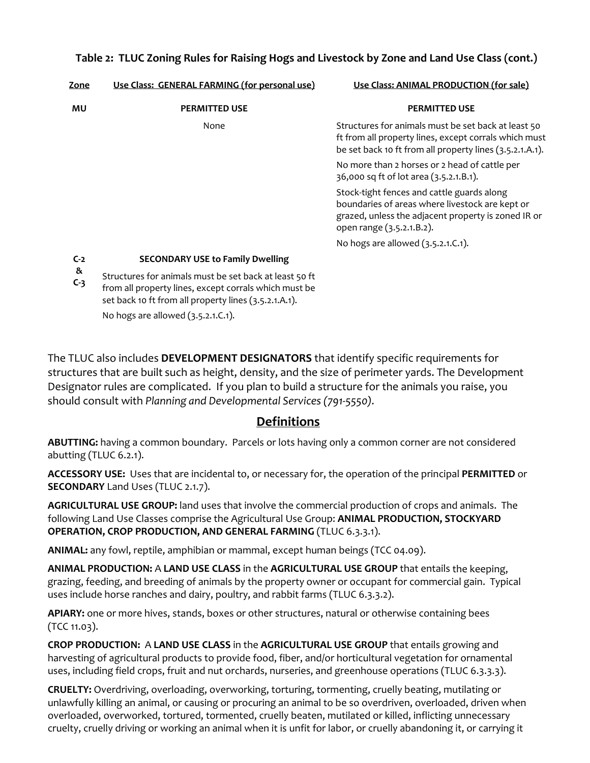## **Table 2: TLUC Zoning Rules for Raising Hogs and Livestock by Zone and Land Use Class (cont.)**

| Zone       | Use Class: GENERAL FARMING (for personal use)                                                                                                                            | Use Class: ANIMAL PRODUCTION (for sale)                                                                                                                                           |
|------------|--------------------------------------------------------------------------------------------------------------------------------------------------------------------------|-----------------------------------------------------------------------------------------------------------------------------------------------------------------------------------|
| MU         | <b>PERMITTED USE</b>                                                                                                                                                     | <b>PERMITTED USE</b>                                                                                                                                                              |
|            | None                                                                                                                                                                     | Structures for animals must be set back at least 50<br>ft from all property lines, except corrals which must<br>be set back 10 ft from all property lines (3.5.2.1.A.1).          |
|            |                                                                                                                                                                          | No more than 2 horses or 2 head of cattle per<br>36,000 sq ft of lot area (3.5.2.1.B.1).                                                                                          |
|            |                                                                                                                                                                          | Stock-tight fences and cattle guards along<br>boundaries of areas where livestock are kept or<br>grazed, unless the adjacent property is zoned IR or<br>open range (3.5.2.1.B.2). |
|            |                                                                                                                                                                          | No hogs are allowed (3.5.2.1.C.1).                                                                                                                                                |
| $C-2$      | <b>SECONDARY USE to Family Dwelling</b>                                                                                                                                  |                                                                                                                                                                                   |
| &<br>$C-3$ | Structures for animals must be set back at least 50 ft<br>from all property lines, except corrals which must be<br>set back 10 ft from all property lines (3.5.2.1.A.1). |                                                                                                                                                                                   |
|            | No hogs are allowed (3.5.2.1.C.1).                                                                                                                                       |                                                                                                                                                                                   |

The TLUC also includes **DEVELOPMENT DESIGNATORS** that identify specific requirements for structures that are built such as height, density, and the size of perimeter yards. The Development Designator rules are complicated. If you plan to build a structure for the animals you raise, you should consult with *Planning and Developmental Services (791‐5550).*

## **Definitions**

**ABUTTING:** having a common boundary. Parcels or lots having only a common corner are not considered abutting (TLUC 6.2.1).

**ACCESSORY USE:** Uses that are incidental to, or necessary for, the operation of the principal **PERMITTED** or **SECONDARY** Land Uses (TLUC 2.1.7).

**AGRICULTURAL USE GROUP:** land uses that involve the commercial production of crops and animals. The following Land Use Classes comprise the Agricultural Use Group: **ANIMAL PRODUCTION, STOCKYARD OPERATION, CROP PRODUCTION, AND GENERAL FARMING** (TLUC 6.3.3.1).

**ANIMAL:** any fowl, reptile, amphibian or mammal, except human beings (TCC 04.09).

**ANIMAL PRODUCTION:** A **LAND USE CLASS** in the **AGRICULTURAL USE GROUP** that entails the keeping, grazing, feeding, and breeding of animals by the property owner or occupant for commercial gain. Typical uses include horse ranches and dairy, poultry, and rabbit farms (TLUC 6.3.3.2).

**APIARY:** one or more hives, stands, boxes or other structures, natural or otherwise containing bees (TCC 11.03).

**CROP PRODUCTION:** A **LAND USE CLASS** in the **AGRICULTURAL USE GROUP** that entails growing and harvesting of agricultural products to provide food, fiber, and/or horticultural vegetation for ornamental uses, including field crops, fruit and nut orchards, nurseries, and greenhouse operations (TLUC 6.3.3.3).

**CRUELTY:** Overdriving, overloading, overworking, torturing, tormenting, cruelly beating, mutilating or unlawfully killing an animal, or causing or procuring an animal to be so overdriven, overloaded, driven when overloaded, overworked, tortured, tormented, cruelly beaten, mutilated or killed, inflicting unnecessary cruelty, cruelly driving or working an animal when it is unfit for labor, or cruelly abandoning it, or carrying it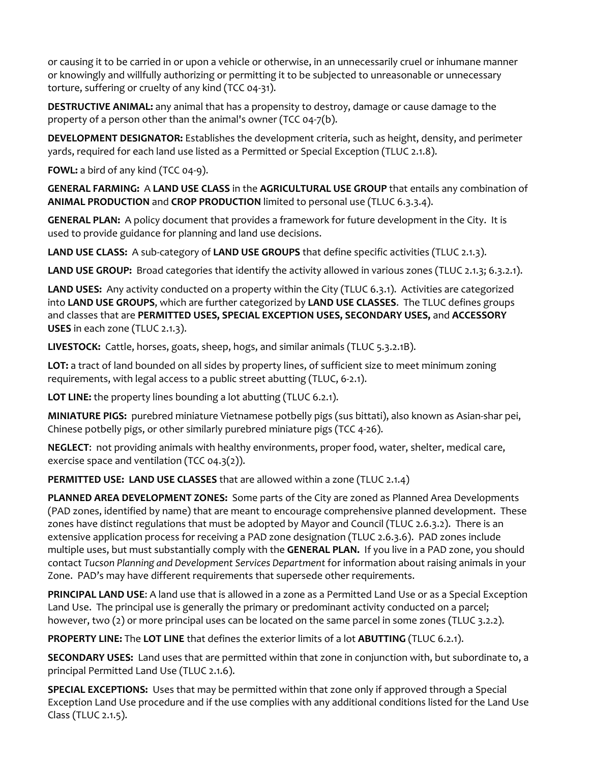or causing it to be carried in or upon a vehicle or otherwise, in an unnecessarily cruel or inhumane manner or knowingly and willfully authorizing or permitting it to be subjected to unreasonable or unnecessary torture, suffering or cruelty of any kind (TCC 04‐31).

**DESTRUCTIVE ANIMAL:** any animal that has a propensity to destroy, damage or cause damage to the property of a person other than the animal's owner (TCC 04‐7(b).

**DEVELOPMENT DESIGNATOR:** Establishes the development criteria, such as height, density, and perimeter yards, required for each land use listed as a Permitted or Special Exception (TLUC 2.1.8).

**FOWL:** a bird of any kind (TCC 04‐9).

**GENERAL FARMING:** A **LAND USE CLASS** in the **AGRICULTURAL USE GROUP** that entails any combination of **ANIMAL PRODUCTION** and **CROP PRODUCTION** limited to personal use (TLUC 6.3.3.4).

**GENERAL PLAN:** A policy document that provides a framework for future development in the City. It is used to provide guidance for planning and land use decisions.

**LAND USE CLASS:** A sub‐category of **LAND USE GROUPS** that define specific activities (TLUC 2.1.3).

**LAND USE GROUP:** Broad categories that identify the activity allowed in various zones (TLUC 2.1.3; 6.3.2.1).

**LAND USES:** Any activity conducted on a property within the City (TLUC 6.3.1). Activities are categorized into **LAND USE GROUPS**, which are further categorized by **LAND USE CLASSES**. The TLUC defines groups and classes that are **PERMITTED USES, SPECIAL EXCEPTION USES, SECONDARY USES,** and **ACCESSORY USES** in each zone (TLUC 2.1.3). 

**LIVESTOCK:** Cattle, horses, goats, sheep, hogs, and similar animals (TLUC 5.3.2.1B).

**LOT:** a tract of land bounded on all sides by property lines, of sufficient size to meet minimum zoning requirements, with legal access to a public street abutting (TLUC, 6‐2.1).

**LOT LINE:** the property lines bounding a lot abutting (TLUC 6.2.1).

**MINIATURE PIGS:** purebred miniature Vietnamese potbelly pigs (sus bittati), also known as Asian‐shar pei, Chinese potbelly pigs, or other similarly purebred miniature pigs (TCC 4‐26).

**NEGLECT**: not providing animals with healthy environments, proper food, water, shelter, medical care, exercise space and ventilation (TCC 04.3(2)).

**PERMITTED USE: LAND USE CLASSES** that are allowed within a zone (TLUC 2.1.4)

**PLANNED AREA DEVELOPMENT ZONES:** Some parts of the City are zoned as Planned Area Developments (PAD zones, identified by name) that are meant to encourage comprehensive planned development. These zones have distinct regulations that must be adopted by Mayor and Council (TLUC 2.6.3.2). There is an extensive application process for receiving a PAD zone designation (TLUC 2.6.3.6). PAD zones include multiple uses, but must substantially comply with the **GENERAL PLAN.** If you live in a PAD zone, you should contact *Tucson Planning and Development Services Department* for information about raising animals in your Zone. PAD's may have different requirements that supersede other requirements.

**PRINCIPAL LAND USE**: A land use that is allowed in a zone as a Permitted Land Use or as a Special Exception Land Use. The principal use is generally the primary or predominant activity conducted on a parcel; however, two (2) or more principal uses can be located on the same parcel in some zones (TLUC 3.2.2).

**PROPERTY LINE:** The **LOT LINE** that defines the exterior limits of a lot **ABUTTING** (TLUC 6.2.1).

**SECONDARY USES:** Land uses that are permitted within that zone in conjunction with, but subordinate to, a principal Permitted Land Use (TLUC 2.1.6).

**SPECIAL EXCEPTIONS:** Uses that may be permitted within that zone only if approved through a Special Exception Land Use procedure and if the use complies with any additional conditions listed for the Land Use Class (TLUC 2.1.5).